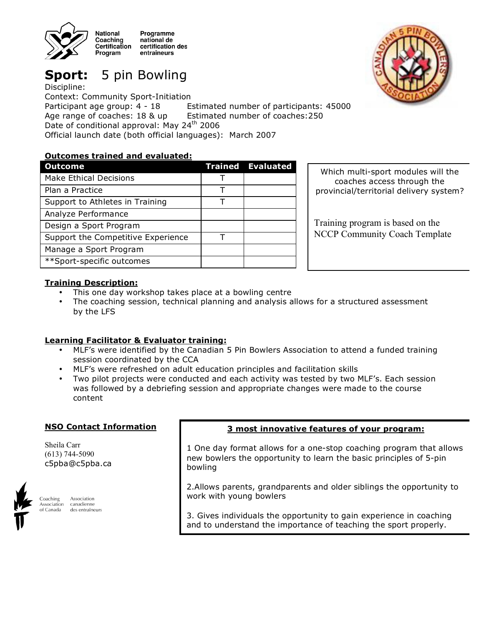

**Sport:** 5 pin Bowling

Discipline: Context: Community Sport-Initiation Participant age group: 4 - 18 Estimated number of participants: 45000 Age range of coaches: 18 & up Estimated number of coaches:250 Date of conditional approval: May 24<sup>th</sup> 2006 Official launch date (both official languages): March 2007

# **Outcomes trained and evaluated:**

| <b>Outcome</b>                     | <b>Trained Evaluated</b> |
|------------------------------------|--------------------------|
| <b>Make Ethical Decisions</b>      |                          |
| Plan a Practice                    |                          |
| Support to Athletes in Training    |                          |
| Analyze Performance                |                          |
| Design a Sport Program             |                          |
| Support the Competitive Experience |                          |
| Manage a Sport Program             |                          |
| **Sport-specific outcomes          |                          |

Which multi-sport modules will the coaches access through the provincial/territorial delivery system?

Training program is based on the NCCP Community Coach Template

# **Training Description:**

- This one day workshop takes place at a bowling centre
- The coaching session, technical planning and analysis allows for a structured assessment by the LFS

### **Learning Facilitator & Evaluator training:**

- MLF's were identified by the Canadian 5 Pin Bowlers Association to attend a funded training session coordinated by the CCA
- MLF's were refreshed on adult education principles and facilitation skills
- Two pilot projects were conducted and each activity was tested by two MLF's. Each session was followed by a debriefing session and appropriate changes were made to the course content

### **NSO Contact Information**

Sheila Carr (613) 744-5090 c5pba@c5pba.ca



Coaching Association canadienne **Association** of Canada des entraîneurs

### **3 most innovative features of your program:**

1 One day format allows for a one-stop coaching program that allows new bowlers the opportunity to learn the basic principles of 5-pin bowling

2.Allows parents, grandparents and older siblings the opportunity to work with young bowlers

3. Gives individuals the opportunity to gain experience in coaching and to understand the importance of teaching the sport properly.